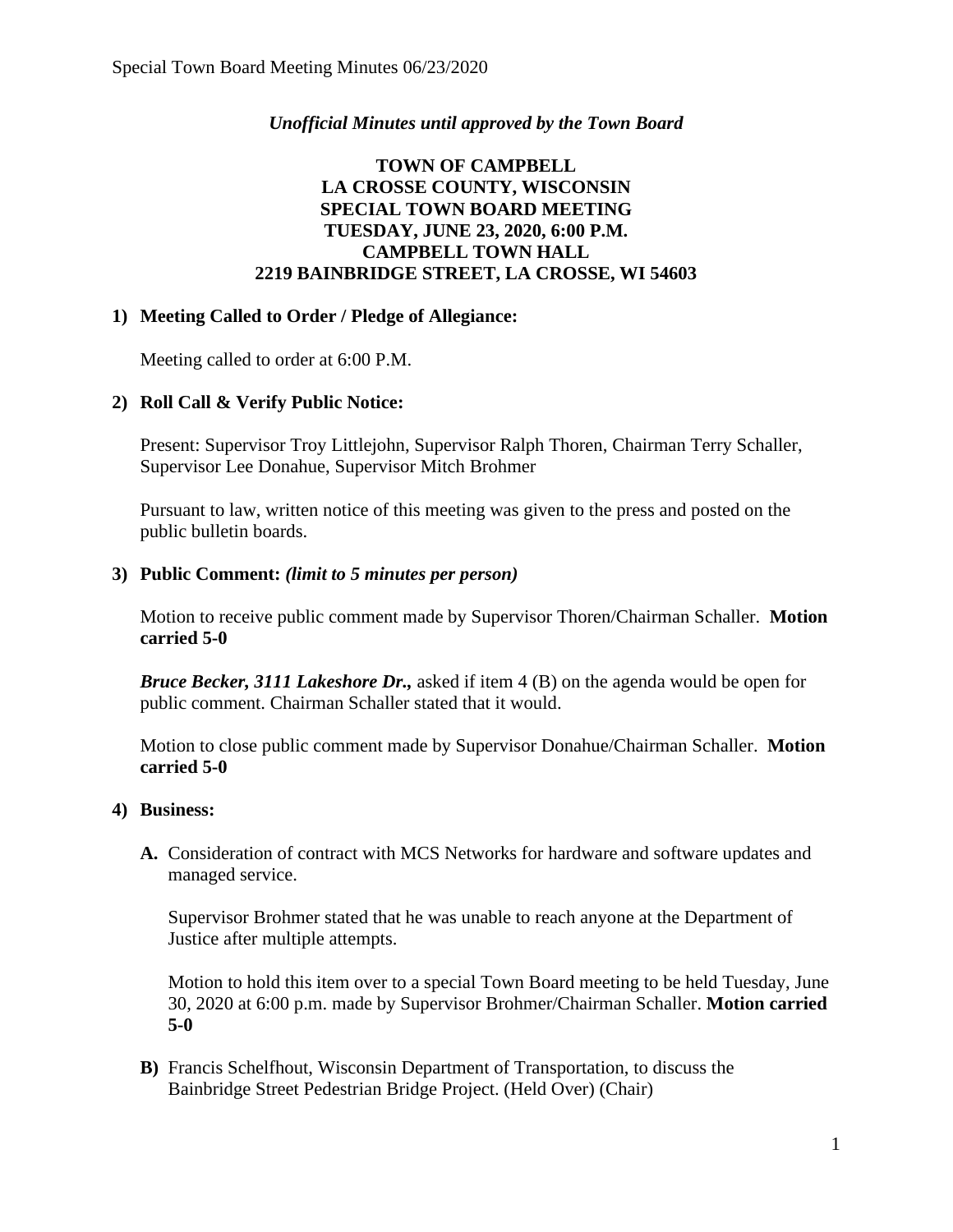## *Unofficial Minutes until approved by the Town Board*

# **TOWN OF CAMPBELL LA CROSSE COUNTY, WISCONSIN SPECIAL TOWN BOARD MEETING TUESDAY, JUNE 23, 2020, 6:00 P.M. CAMPBELL TOWN HALL 2219 BAINBRIDGE STREET, LA CROSSE, WI 54603**

### **1) Meeting Called to Order / Pledge of Allegiance:**

Meeting called to order at 6:00 P.M.

## **2) Roll Call & Verify Public Notice:**

Present: Supervisor Troy Littlejohn, Supervisor Ralph Thoren, Chairman Terry Schaller, Supervisor Lee Donahue, Supervisor Mitch Brohmer

Pursuant to law, written notice of this meeting was given to the press and posted on the public bulletin boards.

### **3) Public Comment:** *(limit to 5 minutes per person)*

Motion to receive public comment made by Supervisor Thoren/Chairman Schaller. **Motion carried 5-0**

*Bruce Becker, 3111 Lakeshore Dr.,* asked if item 4 (B) on the agenda would be open for public comment. Chairman Schaller stated that it would.

Motion to close public comment made by Supervisor Donahue/Chairman Schaller. **Motion carried 5-0**

### **4) Business:**

**A.** Consideration of contract with MCS Networks for hardware and software updates and managed service.

Supervisor Brohmer stated that he was unable to reach anyone at the Department of Justice after multiple attempts.

Motion to hold this item over to a special Town Board meeting to be held Tuesday, June 30, 2020 at 6:00 p.m. made by Supervisor Brohmer/Chairman Schaller. **Motion carried 5-0**

**B)** Francis Schelfhout, Wisconsin Department of Transportation, to discuss the Bainbridge Street Pedestrian Bridge Project. (Held Over) (Chair)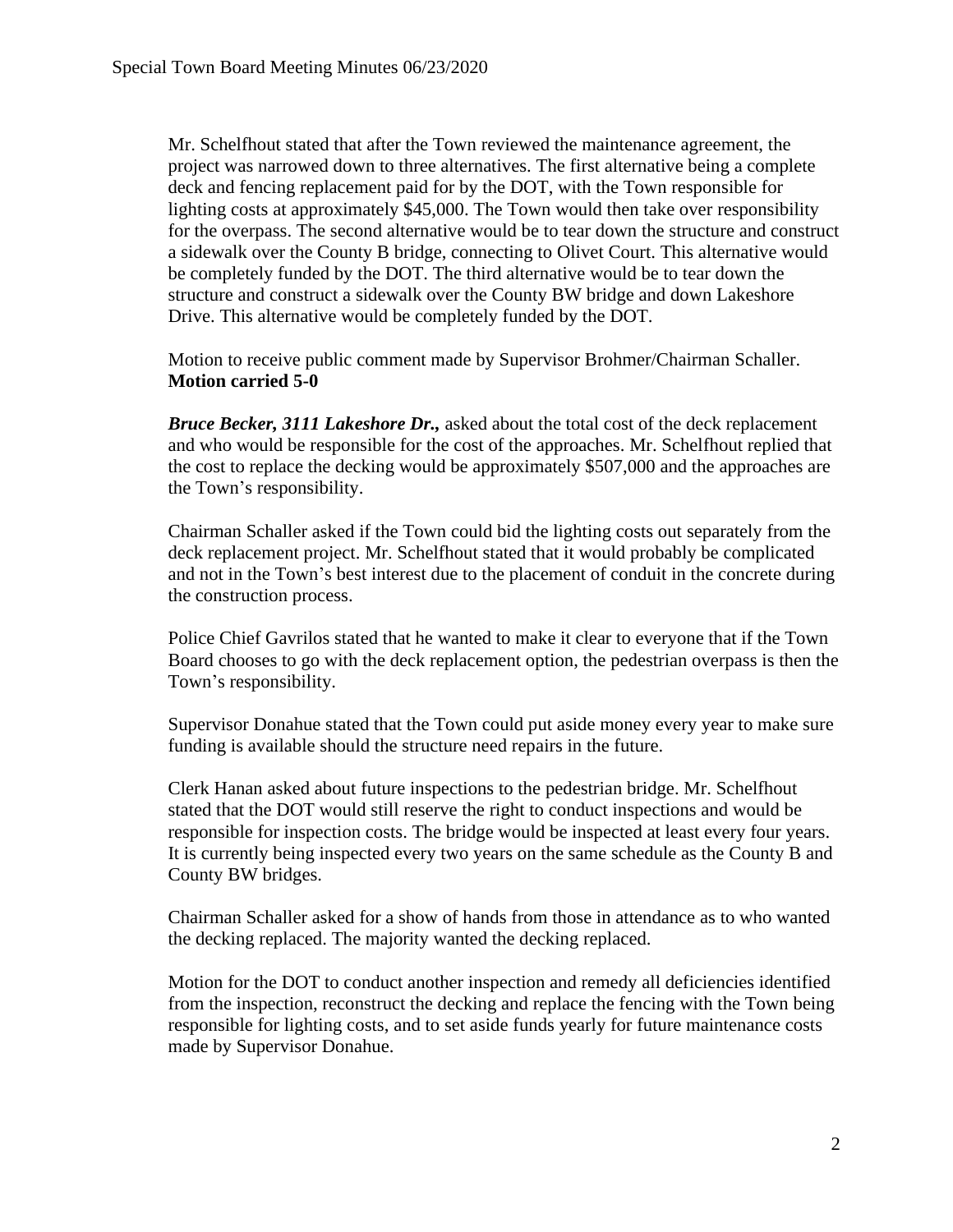Mr. Schelfhout stated that after the Town reviewed the maintenance agreement, the project was narrowed down to three alternatives. The first alternative being a complete deck and fencing replacement paid for by the DOT, with the Town responsible for lighting costs at approximately \$45,000. The Town would then take over responsibility for the overpass. The second alternative would be to tear down the structure and construct a sidewalk over the County B bridge, connecting to Olivet Court. This alternative would be completely funded by the DOT. The third alternative would be to tear down the structure and construct a sidewalk over the County BW bridge and down Lakeshore Drive. This alternative would be completely funded by the DOT.

Motion to receive public comment made by Supervisor Brohmer/Chairman Schaller. **Motion carried 5-0**

*Bruce Becker, 3111 Lakeshore Dr.,* asked about the total cost of the deck replacement and who would be responsible for the cost of the approaches. Mr. Schelfhout replied that the cost to replace the decking would be approximately \$507,000 and the approaches are the Town's responsibility.

Chairman Schaller asked if the Town could bid the lighting costs out separately from the deck replacement project. Mr. Schelfhout stated that it would probably be complicated and not in the Town's best interest due to the placement of conduit in the concrete during the construction process.

Police Chief Gavrilos stated that he wanted to make it clear to everyone that if the Town Board chooses to go with the deck replacement option, the pedestrian overpass is then the Town's responsibility.

Supervisor Donahue stated that the Town could put aside money every year to make sure funding is available should the structure need repairs in the future.

Clerk Hanan asked about future inspections to the pedestrian bridge. Mr. Schelfhout stated that the DOT would still reserve the right to conduct inspections and would be responsible for inspection costs. The bridge would be inspected at least every four years. It is currently being inspected every two years on the same schedule as the County B and County BW bridges.

Chairman Schaller asked for a show of hands from those in attendance as to who wanted the decking replaced. The majority wanted the decking replaced.

Motion for the DOT to conduct another inspection and remedy all deficiencies identified from the inspection, reconstruct the decking and replace the fencing with the Town being responsible for lighting costs, and to set aside funds yearly for future maintenance costs made by Supervisor Donahue.